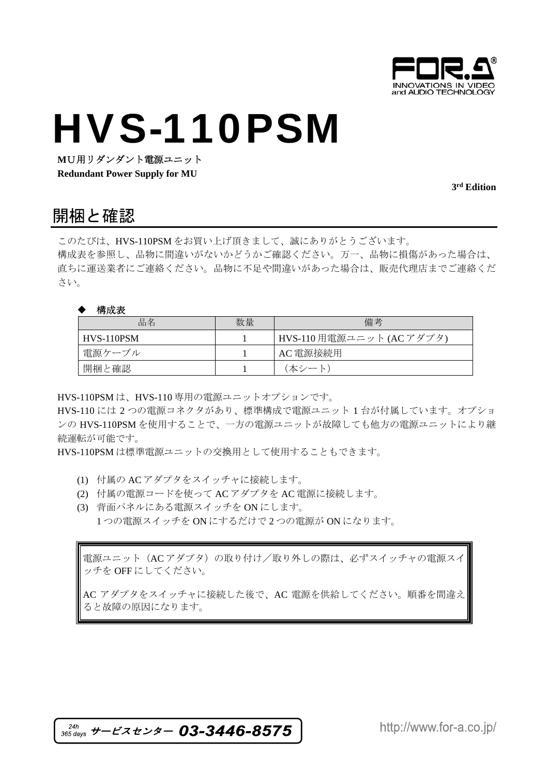

## HVS-110PSM

**M**U用リダンダント電源ユニット

**Redundant Power Supply for MU** 

**3rd Edition** 

### 開梱と確認

このたびは、HVS-110PSM をお買い上げ頂きまして、誠にありがとうございます。 構成表を参照し、品物に間違いがないかどうかご確認ください。万一、品物に損傷があった場合は、 直ちに運送業者にご連絡ください。品物に不足や間違いがあった場合は、販売代理店までご連絡くだ さい。

#### 構成表

| 品名         | 数量 | 備考                        |
|------------|----|---------------------------|
| HVS-110PSM |    | HVS-110 用電源ユニット (AC アダプタ) |
| 雷源ケーブル     |    | AC 電源接続用                  |
| 開梱と確認      |    | (本シート)                    |

HVS-110PSM は、HVS-110 専用の電源ユニットオプションです。

HVS-110 には 2 つの電源コネクタがあり、標準構成で電源ユニット 1 台が付属しています。オプショ ンの HVS-110PSM を使用することで、一方の電源ユニットが故障しても他方の電源ユニットにより継 続運転が可能です。

HVS-110PSM は標準電源ユニットの交換用として使用することもできます。

- (1) 付属の AC アダプタをスイッチャに接続します。
- (2) 付属の電源コードを使って AC アダプタを AC 電源に接続します。
- (3) 背面パネルにある電源スイッチを ON にします。 1 つの電源スイッチを ON にするだけで 2 つの電源が ON になります。

電源ユニット(AC アダプタ)の取り付け/取り外しの際は、必ずスイッチャの電源スイ ッチを OFF にしてください。

AC アダプタをスイッチャに接続した後で、AC 電源を供給してください。順番を間違え ると故障の原因になります。

 $365$  days サービスセンター 03-3446-8575

http://www.for-a.co.jp/